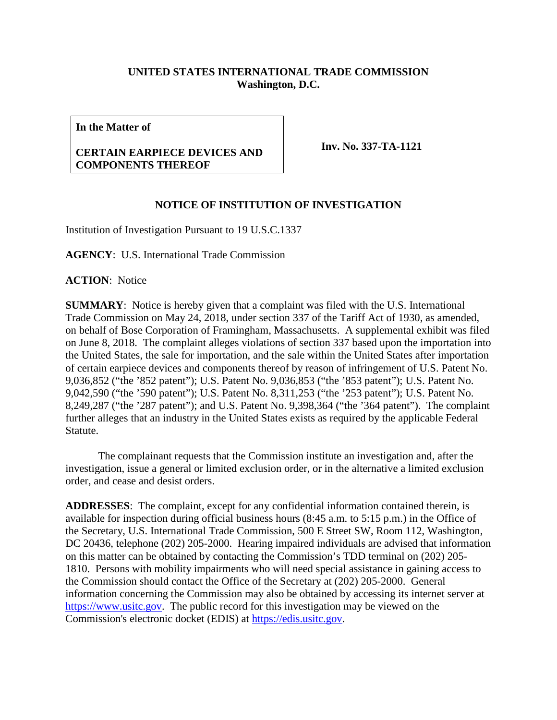## **UNITED STATES INTERNATIONAL TRADE COMMISSION Washington, D.C.**

**In the Matter of**

## **CERTAIN EARPIECE DEVICES AND COMPONENTS THEREOF**

**Inv. No. 337-TA-1121**

## **NOTICE OF INSTITUTION OF INVESTIGATION**

Institution of Investigation Pursuant to 19 U.S.C.1337

**AGENCY**: U.S. International Trade Commission

**ACTION**: Notice

**SUMMARY**: Notice is hereby given that a complaint was filed with the U.S. International Trade Commission on May 24, 2018, under section 337 of the Tariff Act of 1930, as amended, on behalf of Bose Corporation of Framingham, Massachusetts. A supplemental exhibit was filed on June 8, 2018. The complaint alleges violations of section 337 based upon the importation into the United States, the sale for importation, and the sale within the United States after importation of certain earpiece devices and components thereof by reason of infringement of U.S. Patent No. 9,036,852 ("the '852 patent"); U.S. Patent No. 9,036,853 ("the '853 patent"); U.S. Patent No. 9,042,590 ("the '590 patent"); U.S. Patent No. 8,311,253 ("the '253 patent"); U.S. Patent No. 8,249,287 ("the '287 patent"); and U.S. Patent No. 9,398,364 ("the '364 patent"). The complaint further alleges that an industry in the United States exists as required by the applicable Federal Statute.

The complainant requests that the Commission institute an investigation and, after the investigation, issue a general or limited exclusion order, or in the alternative a limited exclusion order, and cease and desist orders.

**ADDRESSES**: The complaint, except for any confidential information contained therein, is available for inspection during official business hours (8:45 a.m. to 5:15 p.m.) in the Office of the Secretary, U.S. International Trade Commission, 500 E Street SW, Room 112, Washington, DC 20436, telephone (202) 205-2000. Hearing impaired individuals are advised that information on this matter can be obtained by contacting the Commission's TDD terminal on (202) 205- 1810. Persons with mobility impairments who will need special assistance in gaining access to the Commission should contact the Office of the Secretary at (202) 205-2000. General information concerning the Commission may also be obtained by accessing its internet server at [https://www.usitc.gov.](https://www.usitc.gov/) The public record for this investigation may be viewed on the Commission's electronic docket (EDIS) at [https://edis.usitc.gov.](https://edis.usitc.gov/)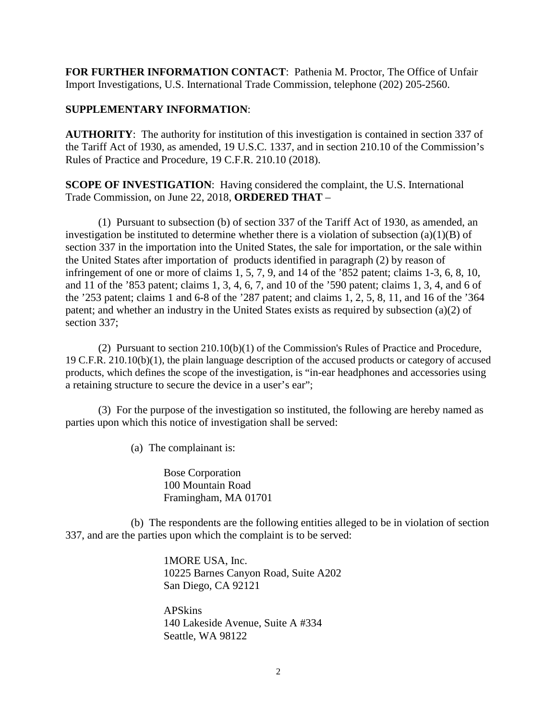**FOR FURTHER INFORMATION CONTACT**: Pathenia M. Proctor, The Office of Unfair Import Investigations, U.S. International Trade Commission, telephone (202) 205-2560.

## **SUPPLEMENTARY INFORMATION**:

**AUTHORITY**: The authority for institution of this investigation is contained in section 337 of the Tariff Act of 1930, as amended, 19 U.S.C. 1337, and in section 210.10 of the Commission's Rules of Practice and Procedure, 19 C.F.R. 210.10 (2018).

**SCOPE OF INVESTIGATION**: Having considered the complaint, the U.S. International Trade Commission, on June 22, 2018, **ORDERED THAT** –

(1) Pursuant to subsection (b) of section 337 of the Tariff Act of 1930, as amended, an investigation be instituted to determine whether there is a violation of subsection (a)(1)(B) of section 337 in the importation into the United States, the sale for importation, or the sale within the United States after importation of products identified in paragraph (2) by reason of infringement of one or more of claims 1, 5, 7, 9, and 14 of the '852 patent; claims 1-3, 6, 8, 10, and 11 of the '853 patent; claims 1, 3, 4, 6, 7, and 10 of the '590 patent; claims 1, 3, 4, and 6 of the '253 patent; claims 1 and 6-8 of the '287 patent; and claims 1, 2, 5, 8, 11, and 16 of the '364 patent; and whether an industry in the United States exists as required by subsection (a)(2) of section 337;

(2) Pursuant to section 210.10(b)(1) of the Commission's Rules of Practice and Procedure, 19 C.F.R. 210.10(b)(1), the plain language description of the accused products or category of accused products, which defines the scope of the investigation, is "in-ear headphones and accessories using a retaining structure to secure the device in a user's ear";

(3) For the purpose of the investigation so instituted, the following are hereby named as parties upon which this notice of investigation shall be served:

(a) The complainant is:

Bose Corporation 100 Mountain Road Framingham, MA 01701

(b) The respondents are the following entities alleged to be in violation of section 337, and are the parties upon which the complaint is to be served:

> 1MORE USA, Inc. 10225 Barnes Canyon Road, Suite A202 San Diego, CA 92121

APSkins 140 Lakeside Avenue, Suite A #334 Seattle, WA 98122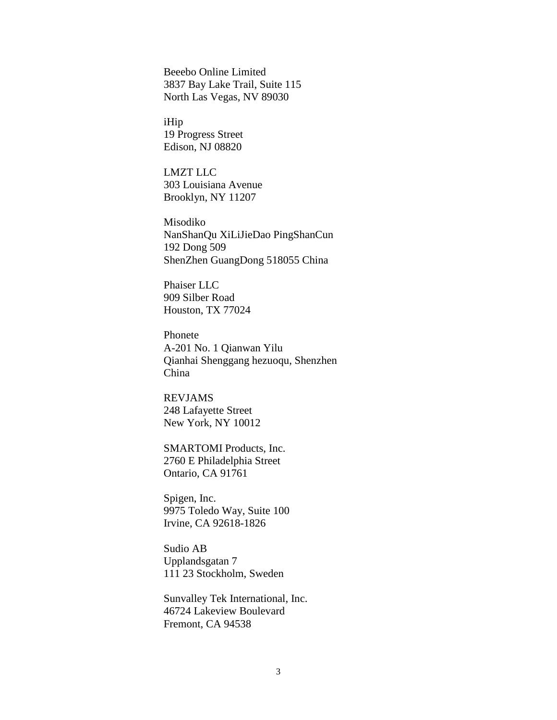Beeebo Online Limited 3837 Bay Lake Trail, Suite 115 North Las Vegas, NV 89030

iHip 19 Progress Street Edison, NJ 08820

LMZT LLC 303 Louisiana Avenue Brooklyn, NY 11207

Misodiko NanShanQu XiLiJieDao PingShanCun 192 Dong 509 ShenZhen GuangDong 518055 China

Phaiser LLC 909 Silber Road Houston, TX 77024

Phonete A-201 No. 1 Qianwan Yilu Qianhai Shenggang hezuoqu, Shenzhen China

REVJAMS 248 Lafayette Street New York, NY 10012

SMARTOMI Products, Inc. 2760 E Philadelphia Street Ontario, CA 91761

Spigen, Inc. 9975 Toledo Way, Suite 100 Irvine, CA 92618-1826

Sudio AB Upplandsgatan 7 111 23 Stockholm, Sweden

Sunvalley Tek International, Inc. 46724 Lakeview Boulevard Fremont, CA 94538